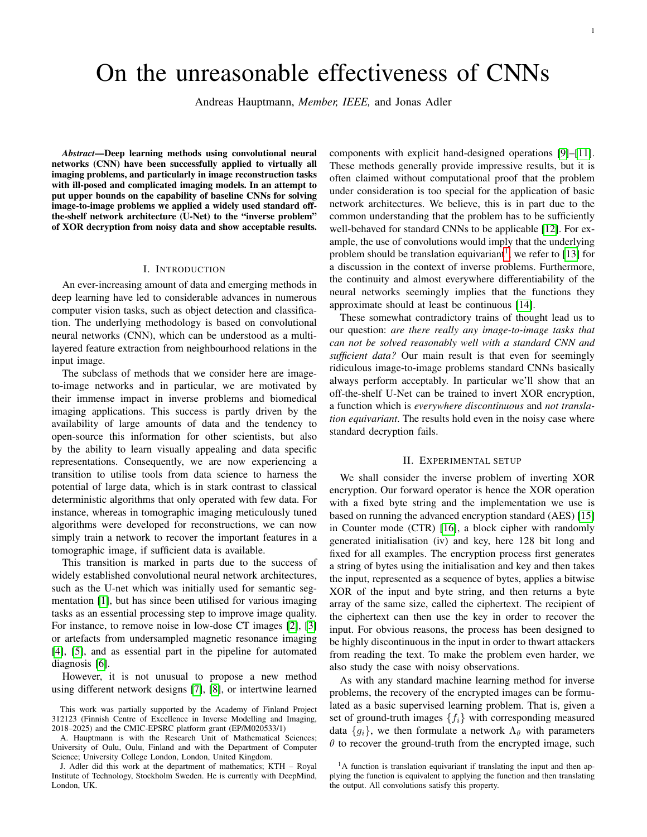# On the unreasonable effectiveness of CNNs

Andreas Hauptmann, *Member, IEEE,* and Jonas Adler

*Abstract*—Deep learning methods using convolutional neural networks (CNN) have been successfully applied to virtually all imaging problems, and particularly in image reconstruction tasks with ill-posed and complicated imaging models. In an attempt to put upper bounds on the capability of baseline CNNs for solving image-to-image problems we applied a widely used standard offthe-shelf network architecture (U-Net) to the "inverse problem" of XOR decryption from noisy data and show acceptable results.

#### I. INTRODUCTION

An ever-increasing amount of data and emerging methods in deep learning have led to considerable advances in numerous computer vision tasks, such as object detection and classification. The underlying methodology is based on convolutional neural networks (CNN), which can be understood as a multilayered feature extraction from neighbourhood relations in the input image.

The subclass of methods that we consider here are imageto-image networks and in particular, we are motivated by their immense impact in inverse problems and biomedical imaging applications. This success is partly driven by the availability of large amounts of data and the tendency to open-source this information for other scientists, but also by the ability to learn visually appealing and data specific representations. Consequently, we are now experiencing a transition to utilise tools from data science to harness the potential of large data, which is in stark contrast to classical deterministic algorithms that only operated with few data. For instance, whereas in tomographic imaging meticulously tuned algorithms were developed for reconstructions, we can now simply train a network to recover the important features in a tomographic image, if sufficient data is available.

This transition is marked in parts due to the success of widely established convolutional neural network architectures, such as the U-net which was initially used for semantic segmentation [\[1\]](#page-2-0), but has since been utilised for various imaging tasks as an essential processing step to improve image quality. For instance, to remove noise in low-dose CT images [\[2\]](#page-2-1), [\[3\]](#page-2-2) or artefacts from undersampled magnetic resonance imaging [\[4\]](#page-2-3), [\[5\]](#page-2-4), and as essential part in the pipeline for automated diagnosis [\[6\]](#page-2-5).

However, it is not unusual to propose a new method using different network designs [\[7\]](#page-2-6), [\[8\]](#page-2-7), or intertwine learned components with explicit hand-designed operations [\[9\]](#page-2-8)–[\[11\]](#page-3-0). These methods generally provide impressive results, but it is often claimed without computational proof that the problem under consideration is too special for the application of basic network architectures. We believe, this is in part due to the common understanding that the problem has to be sufficiently well-behaved for standard CNNs to be applicable [\[12\]](#page-3-1). For example, the use of convolutions would imply that the underlying problem should be translation equivariant<sup>[1](#page-0-0)</sup>, we refer to [\[13\]](#page-3-2) for a discussion in the context of inverse problems. Furthermore, the continuity and almost everywhere differentiability of the neural networks seemingly implies that the functions they approximate should at least be continuous [\[14\]](#page-3-3).

These somewhat contradictory trains of thought lead us to our question: *are there really any image-to-image tasks that can not be solved reasonably well with a standard CNN and sufficient data?* Our main result is that even for seemingly ridiculous image-to-image problems standard CNNs basically always perform acceptably. In particular we'll show that an off-the-shelf U-Net can be trained to invert XOR encryption, a function which is *everywhere discontinuous* and *not translation equivariant*. The results hold even in the noisy case where standard decryption fails.

## II. EXPERIMENTAL SETUP

We shall consider the inverse problem of inverting XOR encryption. Our forward operator is hence the XOR operation with a fixed byte string and the implementation we use is based on running the advanced encryption standard (AES) [\[15\]](#page-3-4) in Counter mode (CTR) [\[16\]](#page-3-5), a block cipher with randomly generated initialisation (iv) and key, here 128 bit long and fixed for all examples. The encryption process first generates a string of bytes using the initialisation and key and then takes the input, represented as a sequence of bytes, applies a bitwise XOR of the input and byte string, and then returns a byte array of the same size, called the ciphertext. The recipient of the ciphertext can then use the key in order to recover the input. For obvious reasons, the process has been designed to be highly discontinuous in the input in order to thwart attackers from reading the text. To make the problem even harder, we also study the case with noisy observations.

As with any standard machine learning method for inverse problems, the recovery of the encrypted images can be formulated as a basic supervised learning problem. That is, given a set of ground-truth images  $\{f_i\}$  with corresponding measured data  ${g_i}$ , we then formulate a network  $\Lambda_{\theta}$  with parameters  $\theta$  to recover the ground-truth from the encrypted image, such

This work was partially supported by the Academy of Finland Project 312123 (Finnish Centre of Excellence in Inverse Modelling and Imaging, 2018–2025) and the CMIC-EPSRC platform grant (EP/M020533/1)

A. Hauptmann is with the Research Unit of Mathematical Sciences; University of Oulu, Oulu, Finland and with the Department of Computer Science; University College London, London, United Kingdom.

J. Adler did this work at the department of mathematics; KTH – Royal Institute of Technology, Stockholm Sweden. He is currently with DeepMind, London, UK.

<span id="page-0-0"></span><sup>&</sup>lt;sup>1</sup>A function is translation equivariant if translating the input and then applying the function is equivalent to applying the function and then translating the output. All convolutions satisfy this property.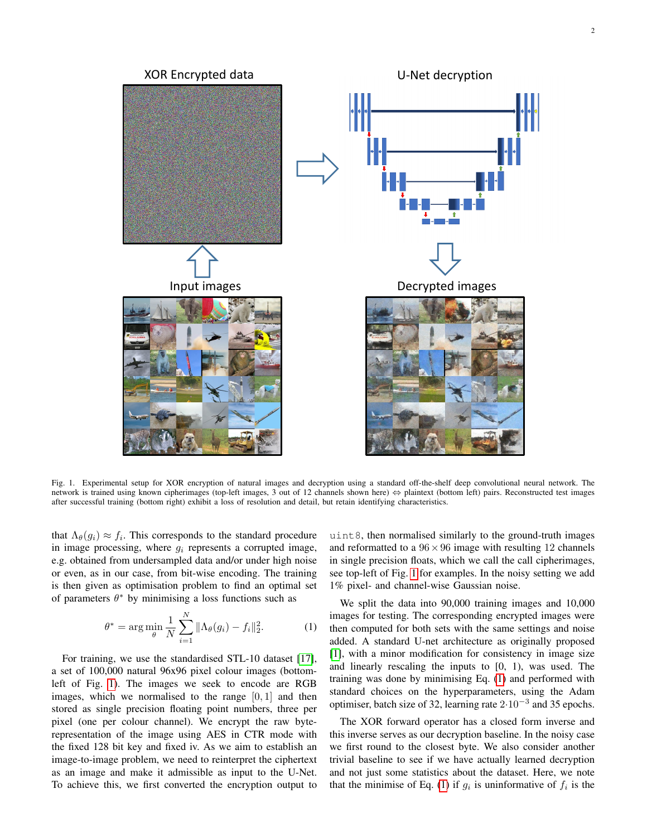

<span id="page-1-0"></span>Fig. 1. Experimental setup for XOR encryption of natural images and decryption using a standard off-the-shelf deep convolutional neural network. The network is trained using known cipherimages (top-left images, 3 out of 12 channels shown here) ⇔ plaintext (bottom left) pairs. Reconstructed test images after successful training (bottom right) exhibit a loss of resolution and detail, but retain identifying characteristics.

that  $\Lambda_{\theta}(g_i) \approx f_i$ . This corresponds to the standard procedure in image processing, where  $g_i$  represents a corrupted image, e.g. obtained from undersampled data and/or under high noise or even, as in our case, from bit-wise encoding. The training is then given as optimisation problem to find an optimal set of parameters  $\theta^*$  by minimising a loss functions such as

<span id="page-1-1"></span>
$$
\theta^* = \arg\min_{\theta} \frac{1}{N} \sum_{i=1}^N \|\Lambda_{\theta}(g_i) - f_i\|_2^2.
$$
 (1)

For training, we use the standardised STL-10 dataset [\[17\]](#page-3-6), a set of 100,000 natural 96x96 pixel colour images (bottomleft of Fig. [1\)](#page-1-0). The images we seek to encode are RGB images, which we normalised to the range  $[0, 1]$  and then stored as single precision floating point numbers, three per pixel (one per colour channel). We encrypt the raw byterepresentation of the image using AES in CTR mode with the fixed 128 bit key and fixed iv. As we aim to establish an image-to-image problem, we need to reinterpret the ciphertext as an image and make it admissible as input to the U-Net. To achieve this, we first converted the encryption output to uint8, then normalised similarly to the ground-truth images and reformatted to a  $96 \times 96$  image with resulting 12 channels in single precision floats, which we call the call cipherimages, see top-left of Fig. [1](#page-1-0) for examples. In the noisy setting we add 1% pixel- and channel-wise Gaussian noise.

We split the data into 90,000 training images and 10,000 images for testing. The corresponding encrypted images were then computed for both sets with the same settings and noise added. A standard U-net architecture as originally proposed [\[1\]](#page-2-0), with a minor modification for consistency in image size and linearly rescaling the inputs to [0, 1), was used. The training was done by minimising Eq. [\(1\)](#page-1-1) and performed with standard choices on the hyperparameters, using the Adam optimiser, batch size of 32, learning rate  $2 \cdot 10^{-3}$  and 35 epochs.

The XOR forward operator has a closed form inverse and this inverse serves as our decryption baseline. In the noisy case we first round to the closest byte. We also consider another trivial baseline to see if we have actually learned decryption and not just some statistics about the dataset. Here, we note that the minimise of Eq. [\(1\)](#page-1-1) if  $g_i$  is uninformative of  $f_i$  is the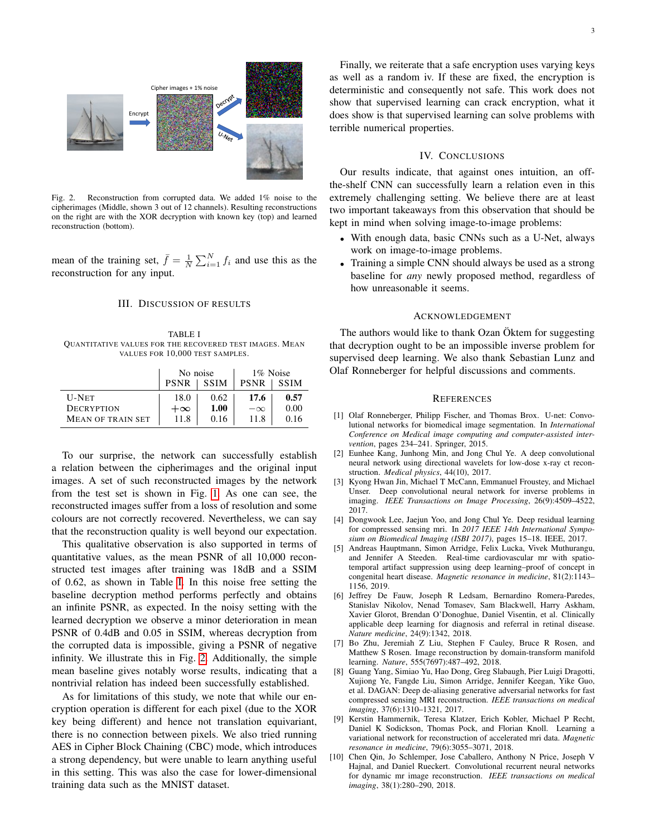

<span id="page-2-10"></span>Fig. 2. Reconstruction from corrupted data. We added 1% noise to the cipherimages (Middle, shown 3 out of 12 channels). Resulting reconstructions on the right are with the XOR decryption with known key (top) and learned reconstruction (bottom).

mean of the training set,  $\bar{f} = \frac{1}{N} \sum_{i=1}^{N} f_i$  and use this as the reconstruction for any input.

## III. DISCUSSION OF RESULTS

<span id="page-2-9"></span>TABLE I QUANTITATIVE VALUES FOR THE RECOVERED TEST IMAGES. MEAN VALUES FOR 10,000 TEST SAMPLES.

|                          | No noise    |             | 1\% Noise   |             |
|--------------------------|-------------|-------------|-------------|-------------|
|                          | <b>PSNR</b> | <b>SSIM</b> | <b>PSNR</b> | <b>SSIM</b> |
| <b>U-NET</b>             | 18.0        | 0.62        | 17.6        | 0.57        |
| <b>DECRYPTION</b>        | $+\infty$   | 1.00        | $-\infty$   | 0.00        |
| <b>MEAN OF TRAIN SET</b> | 11.8        | 0.16        | 11.8        | 0.16        |

To our surprise, the network can successfully establish a relation between the cipherimages and the original input images. A set of such reconstructed images by the network from the test set is shown in Fig. [1.](#page-1-0) As one can see, the reconstructed images suffer from a loss of resolution and some colours are not correctly recovered. Nevertheless, we can say that the reconstruction quality is well beyond our expectation.

This qualitative observation is also supported in terms of quantitative values, as the mean PSNR of all 10,000 reconstructed test images after training was 18dB and a SSIM of 0.62, as shown in Table [I.](#page-2-9) In this noise free setting the baseline decryption method performs perfectly and obtains an infinite PSNR, as expected. In the noisy setting with the learned decryption we observe a minor deterioration in mean PSNR of 0.4dB and 0.05 in SSIM, whereas decryption from the corrupted data is impossible, giving a PSNR of negative infinity. We illustrate this in Fig. [2.](#page-2-10) Additionally, the simple mean baseline gives notably worse results, indicating that a nontrivial relation has indeed been successfully established.

As for limitations of this study, we note that while our encryption operation is different for each pixel (due to the XOR key being different) and hence not translation equivariant, there is no connection between pixels. We also tried running AES in Cipher Block Chaining (CBC) mode, which introduces a strong dependency, but were unable to learn anything useful in this setting. This was also the case for lower-dimensional training data such as the MNIST dataset.

## IV. CONCLUSIONS

Our results indicate, that against ones intuition, an offthe-shelf CNN can successfully learn a relation even in this extremely challenging setting. We believe there are at least two important takeaways from this observation that should be kept in mind when solving image-to-image problems:

- With enough data, basic CNNs such as a U-Net, always work on image-to-image problems.
- Training a simple CNN should always be used as a strong baseline for *any* newly proposed method, regardless of how unreasonable it seems.

#### ACKNOWLEDGEMENT

The authors would like to thank Ozan Öktem for suggesting that decryption ought to be an impossible inverse problem for supervised deep learning. We also thank Sebastian Lunz and Olaf Ronneberger for helpful discussions and comments.

#### **REFERENCES**

- <span id="page-2-0"></span>[1] Olaf Ronneberger, Philipp Fischer, and Thomas Brox. U-net: Convolutional networks for biomedical image segmentation. In *International Conference on Medical image computing and computer-assisted intervention*, pages 234–241. Springer, 2015.
- <span id="page-2-1"></span>[2] Eunhee Kang, Junhong Min, and Jong Chul Ye. A deep convolutional neural network using directional wavelets for low-dose x-ray ct reconstruction. *Medical physics*, 44(10), 2017.
- <span id="page-2-2"></span>[3] Kyong Hwan Jin, Michael T McCann, Emmanuel Froustey, and Michael Unser. Deep convolutional neural network for inverse problems in imaging. *IEEE Transactions on Image Processing*, 26(9):4509–4522, 2017.
- <span id="page-2-3"></span>[4] Dongwook Lee, Jaejun Yoo, and Jong Chul Ye. Deep residual learning for compressed sensing mri. In *2017 IEEE 14th International Symposium on Biomedical Imaging (ISBI 2017)*, pages 15–18. IEEE, 2017.
- <span id="page-2-4"></span>[5] Andreas Hauptmann, Simon Arridge, Felix Lucka, Vivek Muthurangu, and Jennifer A Steeden. Real-time cardiovascular mr with spatiotemporal artifact suppression using deep learning–proof of concept in congenital heart disease. *Magnetic resonance in medicine*, 81(2):1143– 1156, 2019.
- <span id="page-2-5"></span>[6] Jeffrey De Fauw, Joseph R Ledsam, Bernardino Romera-Paredes, Stanislav Nikolov, Nenad Tomasev, Sam Blackwell, Harry Askham, Xavier Glorot, Brendan O'Donoghue, Daniel Visentin, et al. Clinically applicable deep learning for diagnosis and referral in retinal disease. *Nature medicine*, 24(9):1342, 2018.
- <span id="page-2-6"></span>[7] Bo Zhu, Jeremiah Z Liu, Stephen F Cauley, Bruce R Rosen, and Matthew S Rosen. Image reconstruction by domain-transform manifold learning. *Nature*, 555(7697):487–492, 2018.
- <span id="page-2-7"></span>[8] Guang Yang, Simiao Yu, Hao Dong, Greg Slabaugh, Pier Luigi Dragotti, Xujiong Ye, Fangde Liu, Simon Arridge, Jennifer Keegan, Yike Guo, et al. DAGAN: Deep de-aliasing generative adversarial networks for fast compressed sensing MRI reconstruction. *IEEE transactions on medical imaging*, 37(6):1310–1321, 2017.
- <span id="page-2-8"></span>[9] Kerstin Hammernik, Teresa Klatzer, Erich Kobler, Michael P Recht, Daniel K Sodickson, Thomas Pock, and Florian Knoll. Learning a variational network for reconstruction of accelerated mri data. *Magnetic resonance in medicine*, 79(6):3055–3071, 2018.
- [10] Chen Qin, Jo Schlemper, Jose Caballero, Anthony N Price, Joseph V Hajnal, and Daniel Rueckert. Convolutional recurrent neural networks for dynamic mr image reconstruction. *IEEE transactions on medical imaging*, 38(1):280–290, 2018.